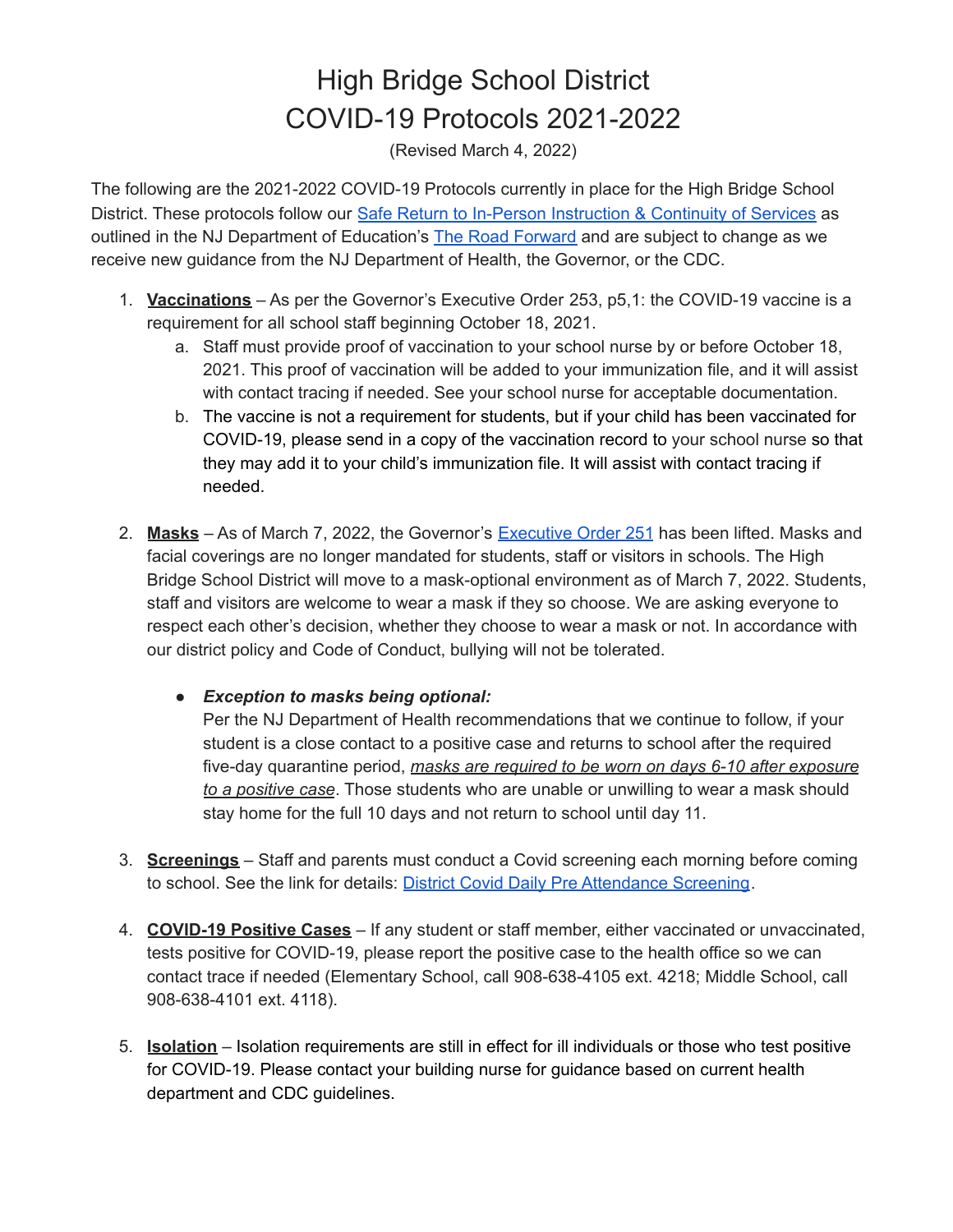## High Bridge School District COVID-19 Protocols 2021-2022

(Revised March 4, 2022)

The following are the 2021-2022 COVID-19 Protocols currently in place for the High Bridge School District. These protocols follow our Safe Return to In-Person [Instruction](https://docs.google.com/document/d/18CIaeJ2QT0kK0htOb96LT_2k8li9JL_UmFuT4kSWsV0/edit?usp=sharing) & Continuity of Services as outlined in the NJ Department of Education's The Road [Forward](https://www.nj.gov/education/roadforward/) and are subject to change as we receive new guidance from the NJ Department of Health, the Governor, or the CDC.

- 1. **Vaccinations** As per the Governor's Executive Order 253, p5,1: the COVID-19 vaccine is a requirement for all school staff beginning October 18, 2021.
	- a. Staff must provide proof of vaccination to your school nurse by or before October 18, 2021. This proof of vaccination will be added to your immunization file, and it will assist with contact tracing if needed. See your school nurse for acceptable documentation.
	- b. The vaccine is not a requirement for students, but if your child has been vaccinated for COVID-19, please send in a copy of the vaccination record to your school nurse so that they may add it to your child's immunization file. It will assist with contact tracing if needed.
- 2. **Masks** As of March 7, 2022, the Governor's [Executive](https://nj.gov/infobank/eo/056murphy/pdf/EO-251.pdf) Order 251 has been lifted. Masks and facial coverings are no longer mandated for students, staff or visitors in schools. The High Bridge School District will move to a mask-optional environment as of March 7, 2022. Students, staff and visitors are welcome to wear a mask if they so choose. We are asking everyone to respect each other's decision, whether they choose to wear a mask or not. In accordance with our district policy and Code of Conduct, bullying will not be tolerated.
	- *● Exception to masks being optional:*

Per the NJ Department of Health recommendations that we continue to follow, if your student is a close contact to a positive case and returns to school after the required five-day quarantine period, *masks are required to be worn on days 6-10 after exposure to a positive case*. Those students who are unable or unwilling to wear a mask should stay home for the full 10 days and not return to school until day 11.

- 3. **Screenings** Staff and parents must conduct a Covid screening each morning before coming to school. See the link for details: District Covid Daily Pre [Attendance](https://docs.google.com/document/d/1VAb6qPf0kmrraQAp8fC9ZUo0_spN2l_gDz9iJ3xEZkU/edit?usp=sharing) Screening.
- 4. **COVID-19 Positive Cases** If any student or staff member, either vaccinated or unvaccinated, tests positive for COVID-19, please report the positive case to the health office so we can contact trace if needed (Elementary School, call 908-638-4105 ext. 4218; Middle School, call 908-638-4101 ext. 4118).
- 5. **Isolation** Isolation requirements are still in effect for ill individuals or those who test positive for COVID-19. Please contact your building nurse for guidance based on current health department and CDC guidelines.